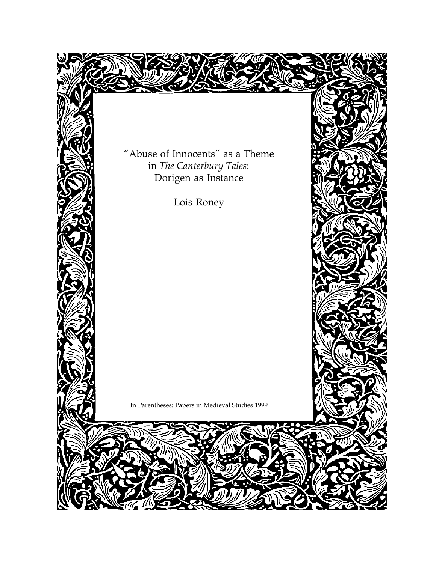"Abuse of Innocents" as a Theme in *The Canterbury Tales*: Dorigen as Instance

Lois Roney

In Parentheses: Papers in Medieval Studies 1999

 $\mathcal{Y}_\mathcal{N}$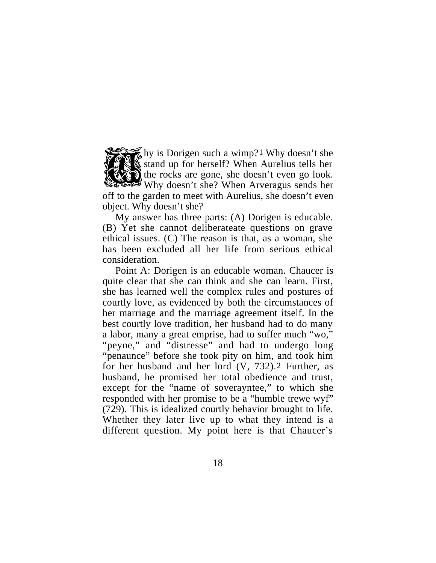hy is Dorigen such a wimp?1 Why doesn't she stand up for herself? When Aurelius tells her the rocks are gone, she doesn't even go look. Why doesn't she? When Arveragus sends her off to the garden to meet with Aurelius, she doesn't even object. Why doesn't she?

My answer has three parts: (A) Dorigen is educable. (B) Yet she cannot deliberateate questions on grave ethical issues. (C) The reason is that, as a woman, she has been excluded all her life from serious ethical consideration.

Point A: Dorigen is an educable woman. Chaucer is quite clear that she can think and she can learn. First, she has learned well the complex rules and postures of courtly love, as evidenced by both the circumstances of her marriage and the marriage agreement itself. In the best courtly love tradition, her husband had to do many a labor, many a great emprise, had to suffer much "wo," "peyne," and "distresse" and had to undergo long "penaunce" before she took pity on him, and took him for her husband and her lord  $(V, 732)$ . Further, as husband, he promised her total obedience and trust, except for the "name of soverayntee," to which she responded with her promise to be a "humble trewe wyf" (729). This is idealized courtly behavior brought to life. Whether they later live up to what they intend is a different question. My point here is that Chaucer's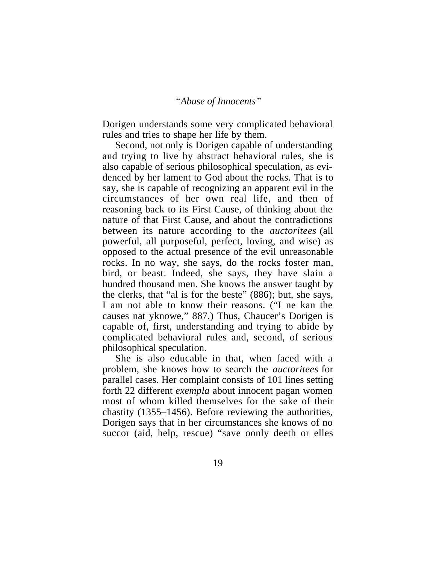Dorigen understands some very complicated behavioral rules and tries to shape her life by them.

Second, not only is Dorigen capable of understanding and trying to live by abstract behavioral rules, she is also capable of serious philosophical speculation, as evidenced by her lament to God about the rocks. That is to say, she is capable of recognizing an apparent evil in the circumstances of her own real life, and then of reasoning back to its First Cause, of thinking about the nature of that First Cause, and about the contradictions between its nature according to the *auctoritees* (all powerful, all purposeful, perfect, loving, and wise) as opposed to the actual presence of the evil unreasonable rocks. In no way, she says, do the rocks foster man, bird, or beast. Indeed, she says, they have slain a hundred thousand men. She knows the answer taught by the clerks, that "al is for the beste" (886); but, she says, I am not able to know their reasons. ("I ne kan the causes nat yknowe," 887.) Thus, Chaucer's Dorigen is capable of, first, understanding and trying to abide by complicated behavioral rules and, second, of serious philosophical speculation.

She is also educable in that, when faced with a problem, she knows how to search the *auctoritees* for parallel cases. Her complaint consists of 101 lines setting forth 22 different *exempla* about innocent pagan women most of whom killed themselves for the sake of their chastity (1355–1456). Before reviewing the authorities, Dorigen says that in her circumstances she knows of no succor (aid, help, rescue) "save oonly deeth or elles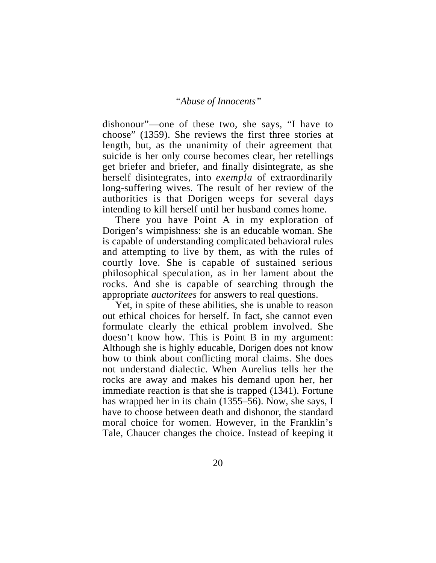dishonour"—one of these two, she says, "I have to choose" (1359). She reviews the first three stories at length, but, as the unanimity of their agreement that suicide is her only course becomes clear, her retellings get briefer and briefer, and finally disintegrate, as she herself disintegrates, into *exempla* of extraordinarily long-suffering wives. The result of her review of the authorities is that Dorigen weeps for several days intending to kill herself until her husband comes home.

There you have Point A in my exploration of Dorigen's wimpishness: she is an educable woman. She is capable of understanding complicated behavioral rules and attempting to live by them, as with the rules of courtly love. She is capable of sustained serious philosophical speculation, as in her lament about the rocks. And she is capable of searching through the appropriate *auctoritees* for answers to real questions.

Yet, in spite of these abilities, she is unable to reason out ethical choices for herself. In fact, she cannot even formulate clearly the ethical problem involved. She doesn't know how. This is Point B in my argument: Although she is highly educable, Dorigen does not know how to think about conflicting moral claims. She does not understand dialectic. When Aurelius tells her the rocks are away and makes his demand upon her, her immediate reaction is that she is trapped (1341). Fortune has wrapped her in its chain (1355–56). Now, she says, I have to choose between death and dishonor, the standard moral choice for women. However, in the Franklin's Tale, Chaucer changes the choice. Instead of keeping it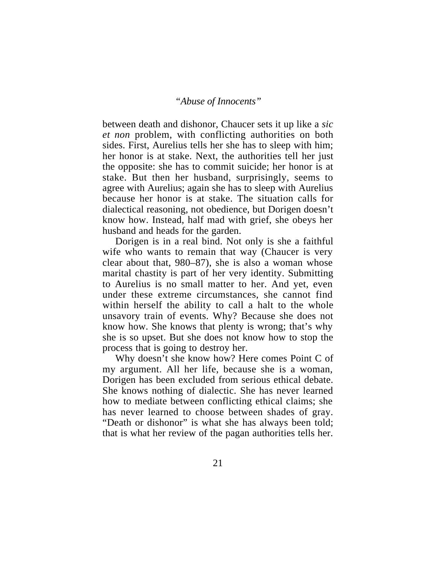between death and dishonor, Chaucer sets it up like a *sic et non* problem, with conflicting authorities on both sides. First, Aurelius tells her she has to sleep with him; her honor is at stake. Next, the authorities tell her just the opposite: she has to commit suicide; her honor is at stake. But then her husband, surprisingly, seems to agree with Aurelius; again she has to sleep with Aurelius because her honor is at stake. The situation calls for dialectical reasoning, not obedience, but Dorigen doesn't know how. Instead, half mad with grief, she obeys her husband and heads for the garden.

Dorigen is in a real bind. Not only is she a faithful wife who wants to remain that way (Chaucer is very clear about that, 980–87), she is also a woman whose marital chastity is part of her very identity. Submitting to Aurelius is no small matter to her. And yet, even under these extreme circumstances, she cannot find within herself the ability to call a halt to the whole unsavory train of events. Why? Because she does not know how. She knows that plenty is wrong; that's why she is so upset. But she does not know how to stop the process that is going to destroy her.

Why doesn't she know how? Here comes Point C of my argument. All her life, because she is a woman, Dorigen has been excluded from serious ethical debate. She knows nothing of dialectic. She has never learned how to mediate between conflicting ethical claims; she has never learned to choose between shades of gray. "Death or dishonor" is what she has always been told; that is what her review of the pagan authorities tells her.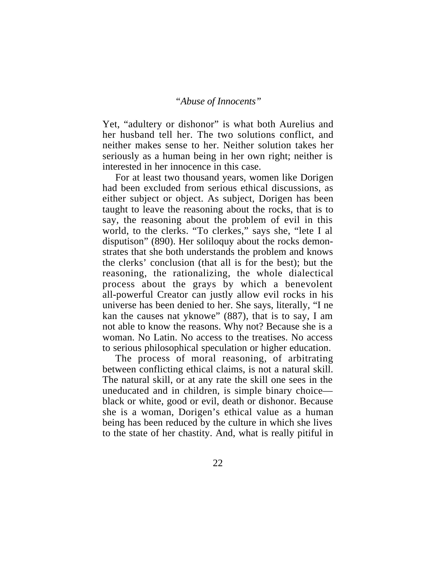Yet, "adultery or dishonor" is what both Aurelius and her husband tell her. The two solutions conflict, and neither makes sense to her. Neither solution takes her seriously as a human being in her own right; neither is interested in her innocence in this case.

For at least two thousand years, women like Dorigen had been excluded from serious ethical discussions, as either subject or object. As subject, Dorigen has been taught to leave the reasoning about the rocks, that is to say, the reasoning about the problem of evil in this world, to the clerks. "To clerkes," says she, "lete I al disputison" (890). Her soliloquy about the rocks demonstrates that she both understands the problem and knows the clerks' conclusion (that all is for the best); but the reasoning, the rationalizing, the whole dialectical process about the grays by which a benevolent all-powerful Creator can justly allow evil rocks in his universe has been denied to her. She says, literally, "I ne kan the causes nat yknowe" (887), that is to say, I am not able to know the reasons. Why not? Because she is a woman. No Latin. No access to the treatises. No access to serious philosophical speculation or higher education.

The process of moral reasoning, of arbitrating between conflicting ethical claims, is not a natural skill. The natural skill, or at any rate the skill one sees in the uneducated and in children, is simple binary choice black or white, good or evil, death or dishonor. Because she is a woman, Dorigen's ethical value as a human being has been reduced by the culture in which she lives to the state of her chastity. And, what is really pitiful in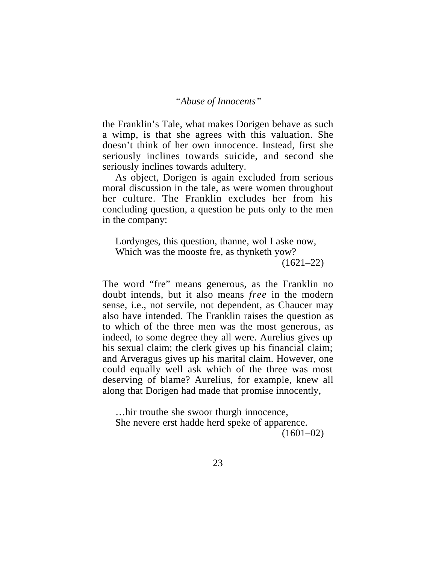the Franklin's Tale, what makes Dorigen behave as such a wimp, is that she agrees with this valuation. She doesn't think of her own innocence. Instead, first she seriously inclines towards suicide, and second she seriously inclines towards adultery.

As object, Dorigen is again excluded from serious moral discussion in the tale, as were women throughout her culture. The Franklin excludes her from his concluding question, a question he puts only to the men in the company:

Lordynges, this question, thanne, wol I aske now, Which was the mooste fre, as thynketh yow?  $(1621-22)$ 

The word "fre" means generous, as the Franklin no doubt intends, but it also means *free* in the modern sense, i.e., not servile, not dependent, as Chaucer may also have intended. The Franklin raises the question as to which of the three men was the most generous, as indeed, to some degree they all were. Aurelius gives up his sexual claim; the clerk gives up his financial claim; and Arveragus gives up his marital claim. However, one could equally well ask which of the three was most deserving of blame? Aurelius, for example, knew all along that Dorigen had made that promise innocently,

…hir trouthe she swoor thurgh innocence, She nevere erst hadde herd speke of apparence.  $(1601-02)$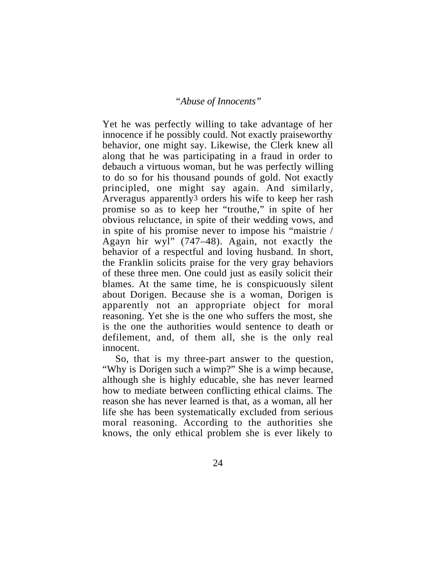Yet he was perfectly willing to take advantage of her innocence if he possibly could. Not exactly praiseworthy behavior, one might say. Likewise, the Clerk knew all along that he was participating in a fraud in order to debauch a virtuous woman, but he was perfectly willing to do so for his thousand pounds of gold. Not exactly principled, one might say again. And similarly, Arveragus apparently3 orders his wife to keep her rash promise so as to keep her "trouthe," in spite of her obvious reluctance, in spite of their wedding vows, and in spite of his promise never to impose his "maistrie / Agayn hir wyl" (747–48). Again, not exactly the behavior of a respectful and loving husband. In short, the Franklin solicits praise for the very gray behaviors of these three men. One could just as easily solicit their blames. At the same time, he is conspicuously silent about Dorigen. Because she is a woman, Dorigen is apparently not an appropriate object for moral reasoning. Yet she is the one who suffers the most, she is the one the authorities would sentence to death or defilement, and, of them all, she is the only real innocent.

So, that is my three-part answer to the question, "Why is Dorigen such a wimp?" She is a wimp because, although she is highly educable, she has never learned how to mediate between conflicting ethical claims. The reason she has never learned is that, as a woman, all her life she has been systematically excluded from serious moral reasoning. According to the authorities she knows, the only ethical problem she is ever likely to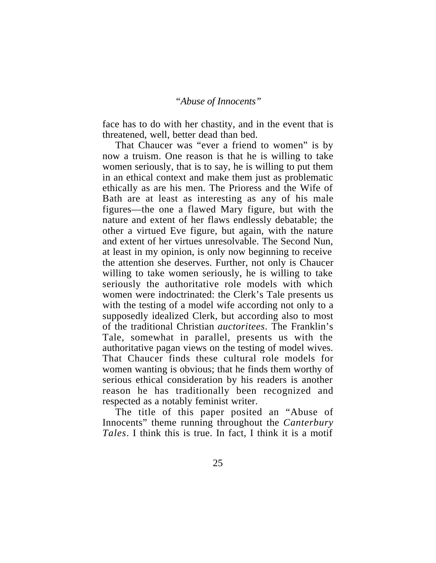face has to do with her chastity, and in the event that is threatened, well, better dead than bed.

That Chaucer was "ever a friend to women" is by now a truism. One reason is that he is willing to take women seriously, that is to say, he is willing to put them in an ethical context and make them just as problematic ethically as are his men. The Prioress and the Wife of Bath are at least as interesting as any of his male figures—the one a flawed Mary figure, but with the nature and extent of her flaws endlessly debatable; the other a virtued Eve figure, but again, with the nature and extent of her virtues unresolvable. The Second Nun, at least in my opinion, is only now beginning to receive the attention she deserves. Further, not only is Chaucer willing to take women seriously, he is willing to take seriously the authoritative role models with which women were indoctrinated: the Clerk's Tale presents us with the testing of a model wife according not only to a supposedly idealized Clerk, but according also to most of the traditional Christian *auctoritees*. The Franklin's Tale, somewhat in parallel, presents us with the authoritative pagan views on the testing of model wives. That Chaucer finds these cultural role models for women wanting is obvious; that he finds them worthy of serious ethical consideration by his readers is another reason he has traditionally been recognized and respected as a notably feminist writer.

The title of this paper posited an "Abuse of Innocents" theme running throughout the *Canterbury Tales*. I think this is true. In fact, I think it is a motif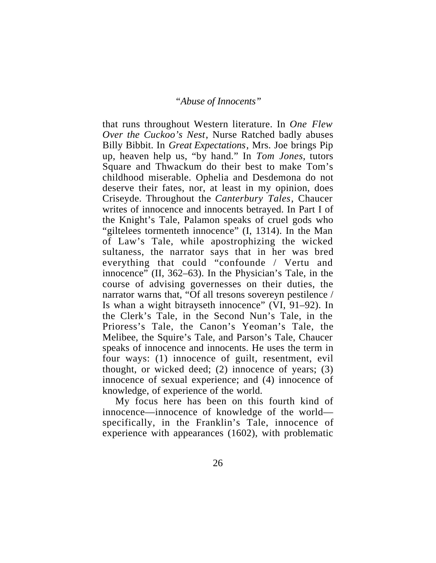that runs throughout Western literature. In *One Flew Over the Cuckoo's Nest*, Nurse Ratched badly abuses Billy Bibbit. In *Great Expectations*, Mrs. Joe brings Pip up, heaven help us, "by hand." In *Tom Jones*, tutors Square and Thwackum do their best to make Tom's childhood miserable. Ophelia and Desdemona do not deserve their fates, nor, at least in my opinion, does Criseyde. Throughout the *Canterbury Tales*, Chaucer writes of innocence and innocents betrayed. In Part I of the Knight's Tale, Palamon speaks of cruel gods who "giltelees tormenteth innocence" (I, 1314). In the Man of Law's Tale, while apostrophizing the wicked sultaness, the narrator says that in her was bred everything that could "confounde / Vertu and innocence" (II, 362–63). In the Physician's Tale, in the course of advising governesses on their duties, the narrator warns that, "Of all tresons sovereyn pestilence / Is whan a wight bitrayseth innocence" (VI, 91–92). In the Clerk's Tale, in the Second Nun's Tale, in the Prioress's Tale, the Canon's Yeoman's Tale, the Melibee, the Squire's Tale, and Parson's Tale, Chaucer speaks of innocence and innocents. He uses the term in four ways: (1) innocence of guilt, resentment, evil thought, or wicked deed; (2) innocence of years; (3) innocence of sexual experience; and (4) innocence of knowledge, of experience of the world.

My focus here has been on this fourth kind of innocence—innocence of knowledge of the world specifically, in the Franklin's Tale, innocence of experience with appearances (1602), with problematic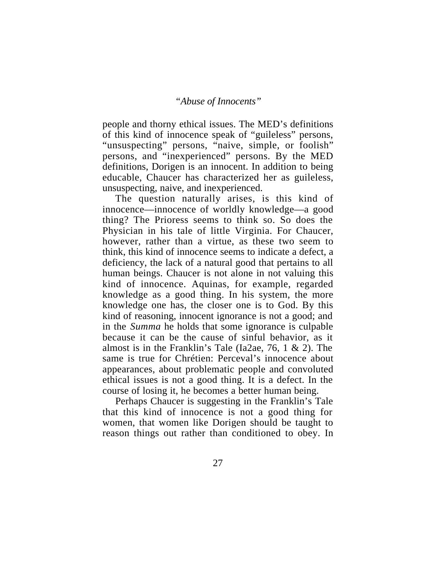people and thorny ethical issues. The MED's definitions of this kind of innocence speak of "guileless" persons, "unsuspecting" persons, "naive, simple, or foolish" persons, and "inexperienced" persons. By the MED definitions, Dorigen is an innocent. In addition to being educable, Chaucer has characterized her as guileless, unsuspecting, naive, and inexperienced.

The question naturally arises, is this kind of innocence—innocence of worldly knowledge—a good thing? The Prioress seems to think so. So does the Physician in his tale of little Virginia. For Chaucer, however, rather than a virtue, as these two seem to think, this kind of innocence seems to indicate a defect, a deficiency, the lack of a natural good that pertains to all human beings. Chaucer is not alone in not valuing this kind of innocence. Aquinas, for example, regarded knowledge as a good thing. In his system, the more knowledge one has, the closer one is to God. By this kind of reasoning, innocent ignorance is not a good; and in the *Summa* he holds that some ignorance is culpable because it can be the cause of sinful behavior, as it almost is in the Franklin's Tale (Ia2ae, 76, 1 & 2). The same is true for Chrétien: Perceval's innocence about appearances, about problematic people and convoluted ethical issues is not a good thing. It is a defect. In the course of losing it, he becomes a better human being.

Perhaps Chaucer is suggesting in the Franklin's Tale that this kind of innocence is not a good thing for women, that women like Dorigen should be taught to reason things out rather than conditioned to obey. In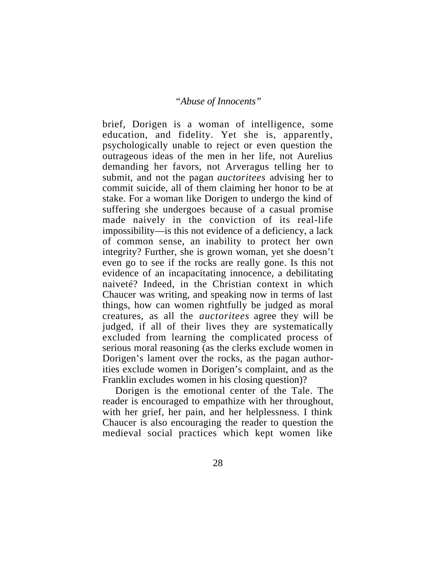brief, Dorigen is a woman of intelligence, some education, and fidelity. Yet she is, apparently, psychologically unable to reject or even question the outrageous ideas of the men in her life, not Aurelius demanding her favors, not Arveragus telling her to submit, and not the pagan *auctoritees* advising her to commit suicide, all of them claiming her honor to be at stake. For a woman like Dorigen to undergo the kind of suffering she undergoes because of a casual promise made naively in the conviction of its real-life impossibility—is this not evidence of a deficiency, a lack of common sense, an inability to protect her own integrity? Further, she is grown woman, yet she doesn't even go to see if the rocks are really gone. Is this not evidence of an incapacitating innocence, a debilitating naiveté? Indeed, in the Christian context in which Chaucer was writing, and speaking now in terms of last things, how can women rightfully be judged as moral creatures, as all the *auctoritees* agree they will be judged, if all of their lives they are systematically excluded from learning the complicated process of serious moral reasoning (as the clerks exclude women in Dorigen's lament over the rocks, as the pagan authorities exclude women in Dorigen's complaint, and as the Franklin excludes women in his closing question)?

Dorigen is the emotional center of the Tale. The reader is encouraged to empathize with her throughout, with her grief, her pain, and her helplessness. I think Chaucer is also encouraging the reader to question the medieval social practices which kept women like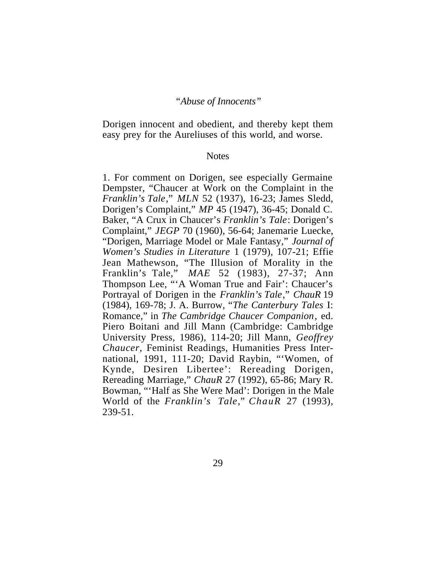Dorigen innocent and obedient, and thereby kept them easy prey for the Aureliuses of this world, and worse.

#### **Notes**

1. For comment on Dorigen, see especially Germaine Dempster, "Chaucer at Work on the Complaint in the *Franklin's Tale*," *MLN* 52 (1937), 16-23; James Sledd, Dorigen's Complaint," *MP* 45 (1947), 36-45; Donald C. Baker, "A Crux in Chaucer's *Franklin's Tale*: Dorigen's Complaint," *JEGP* 70 (1960), 56-64; Janemarie Luecke, "Dorigen, Marriage Model or Male Fantasy," *Journal of Women's Studies in Literature* 1 (1979), 107-21; Effie Jean Mathewson, "The Illusion of Morality in the Franklin's Tale," *MAE* 52 (1983), 27-37; Ann Thompson Lee, "'A Woman True and Fair': Chaucer's Portrayal of Dorigen in the *Franklin's Tale*," *ChauR* 19 (1984), 169-78; J. A. Burrow, "*The Canterbury Tales* I: Romance," in *The Cambridge Chaucer Companion*, ed. Piero Boitani and Jill Mann (Cambridge: Cambridge University Press, 1986), 114-20; Jill Mann, *Geoffrey Chaucer*, Feminist Readings, Humanities Press International, 1991, 111-20; David Raybin, "'Women, of Kynde, Desiren Libertee': Rereading Dorigen, Rereading Marriage," *ChauR* 27 (1992), 65-86; Mary R. Bowman, "'Half as She Were Mad': Dorigen in the Male World of the *Franklin's Tale*," *ChauR* 27 (1993), 239-51.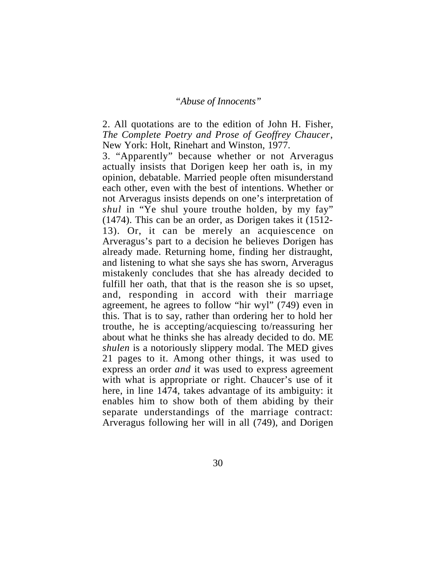2. All quotations are to the edition of John H. Fisher, *The Complete Poetry and Prose of Geoffrey Chaucer*, New York: Holt, Rinehart and Winston, 1977.

3. "Apparently" because whether or not Arveragus actually insists that Dorigen keep her oath is, in my opinion, debatable. Married people often misunderstand each other, even with the best of intentions. Whether or not Arveragus insists depends on one's interpretation of *shul* in "Ye shul youre trouthe holden, by my fay" (1474). This can be an order, as Dorigen takes it (1512- 13). Or, it can be merely an acquiescence on Arveragus's part to a decision he believes Dorigen has already made. Returning home, finding her distraught, and listening to what she says she has sworn, Arveragus mistakenly concludes that she has already decided to fulfill her oath, that that is the reason she is so upset, and, responding in accord with their marriage agreement, he agrees to follow "hir wyl" (749) even in this. That is to say, rather than ordering her to hold her trouthe, he is accepting/acquiescing to/reassuring her about what he thinks she has already decided to do. ME *shulen* is a notoriously slippery modal. The MED gives 21 pages to it. Among other things, it was used to express an order *and* it was used to express agreement with what is appropriate or right. Chaucer's use of it here, in line 1474, takes advantage of its ambiguity: it enables him to show both of them abiding by their separate understandings of the marriage contract: Arveragus following her will in all (749), and Dorigen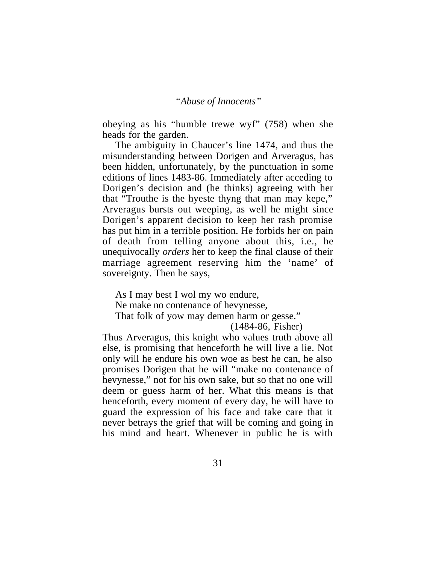obeying as his "humble trewe wyf" (758) when she heads for the garden.

The ambiguity in Chaucer's line 1474, and thus the misunderstanding between Dorigen and Arveragus, has been hidden, unfortunately, by the punctuation in some editions of lines 1483-86. Immediately after acceding to Dorigen's decision and (he thinks) agreeing with her that "Trouthe is the hyeste thyng that man may kepe," Arveragus bursts out weeping, as well he might since Dorigen's apparent decision to keep her rash promise has put him in a terrible position. He forbids her on pain of death from telling anyone about this, i.e., he unequivocally *orders* her to keep the final clause of their marriage agreement reserving him the 'name' of sovereignty. Then he says,

As I may best I wol my wo endure, Ne make no contenance of hevynesse, That folk of yow may demen harm or gesse."

(1484-86, Fisher)

Thus Arveragus, this knight who values truth above all else, is promising that henceforth he will live a lie. Not only will he endure his own woe as best he can, he also promises Dorigen that he will "make no contenance of hevynesse," not for his own sake, but so that no one will deem or guess harm of her. What this means is that henceforth, every moment of every day, he will have to guard the expression of his face and take care that it never betrays the grief that will be coming and going in his mind and heart. Whenever in public he is with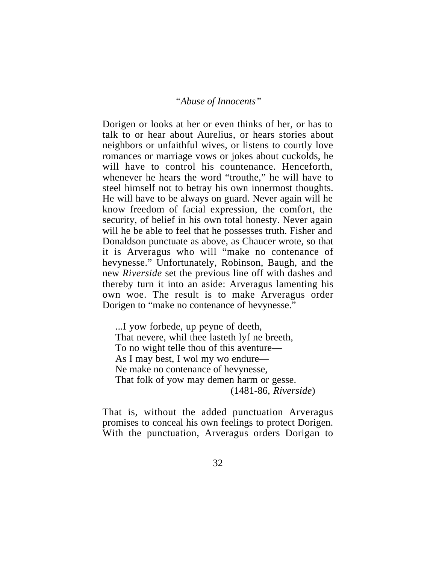Dorigen or looks at her or even thinks of her, or has to talk to or hear about Aurelius, or hears stories about neighbors or unfaithful wives, or listens to courtly love romances or marriage vows or jokes about cuckolds, he will have to control his countenance. Henceforth, whenever he hears the word "trouthe," he will have to steel himself not to betray his own innermost thoughts. He will have to be always on guard. Never again will he know freedom of facial expression, the comfort, the security, of belief in his own total honesty. Never again will he be able to feel that he possesses truth. Fisher and Donaldson punctuate as above, as Chaucer wrote, so that it is Arveragus who will "make no contenance of hevynesse." Unfortunately, Robinson, Baugh, and the new *Riverside* set the previous line off with dashes and thereby turn it into an aside: Arveragus lamenting his own woe. The result is to make Arveragus order Dorigen to "make no contenance of hevynesse."

...I yow forbede, up peyne of deeth, That nevere, whil thee lasteth lyf ne breeth, To no wight telle thou of this aventure— As I may best, I wol my wo endure— Ne make no contenance of hevynesse, That folk of yow may demen harm or gesse. (1481-86, *Riverside*)

That is, without the added punctuation Arveragus promises to conceal his own feelings to protect Dorigen. With the punctuation, Arveragus orders Dorigan to